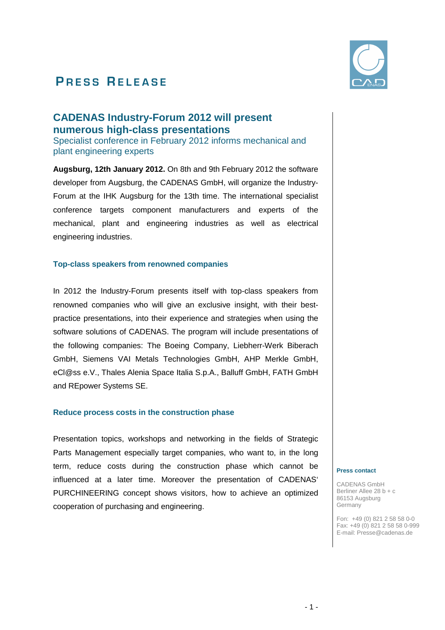# **PRESS RELEASE**



## **CADENAS Industry-Forum 2012 will present numerous high-class presentations**

Specialist conference in February 2012 informs mechanical and plant engineering experts

**Augsburg, 12th January 2012.** On 8th and 9th February 2012 the software developer from Augsburg, the CADENAS GmbH, will organize the Industry-Forum at the IHK Augsburg for the 13th time. The international specialist conference targets component manufacturers and experts of the mechanical, plant and engineering industries as well as electrical engineering industries.

### **Top-class speakers from renowned companies**

In 2012 the Industry-Forum presents itself with top-class speakers from renowned companies who will give an exclusive insight, with their bestpractice presentations, into their experience and strategies when using the software solutions of CADENAS. The program will include presentations of the following companies: The Boeing Company, Liebherr-Werk Biberach GmbH, Siemens VAI Metals Technologies GmbH, AHP Merkle GmbH, eCl@ss e.V., Thales Alenia Space Italia S.p.A., Balluff GmbH, FATH GmbH and REpower Systems SE.

### **Reduce process costs in the construction phase**

Presentation topics, workshops and networking in the fields of Strategic Parts Management especially target companies, who want to, in the long term, reduce costs during the construction phase which cannot be influenced at a later time. Moreover the presentation of CADENAS' PURCHINEERING concept shows visitors, how to achieve an optimized cooperation of purchasing and engineering.

#### **Press contact**

CADENAS GmbH Berliner Allee 28 b + c 86153 Augsburg Germany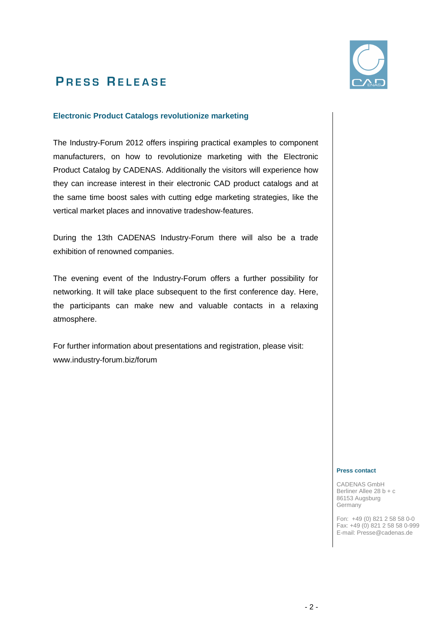

## **P R E S S R E L E A S E**

### **Electronic Product Catalogs revolutionize marketing**

The Industry-Forum 2012 offers inspiring practical examples to component manufacturers, on how to revolutionize marketing with the Electronic Product Catalog by CADENAS. Additionally the visitors will experience how they can increase interest in their electronic CAD product catalogs and at the same time boost sales with cutting edge marketing strategies, like the vertical market places and innovative tradeshow-features.

During the 13th CADENAS Industry-Forum there will also be a trade exhibition of renowned companies.

The evening event of the Industry-Forum offers a further possibility for networking. It will take place subsequent to the first conference day. Here, the participants can make new and valuable contacts in a relaxing atmosphere.

For further information about presentations and registration, please visit: www.industry-forum.biz/forum

#### **Press contact**

CADENAS GmbH Berliner Allee 28 b + c 86153 Augsburg Germany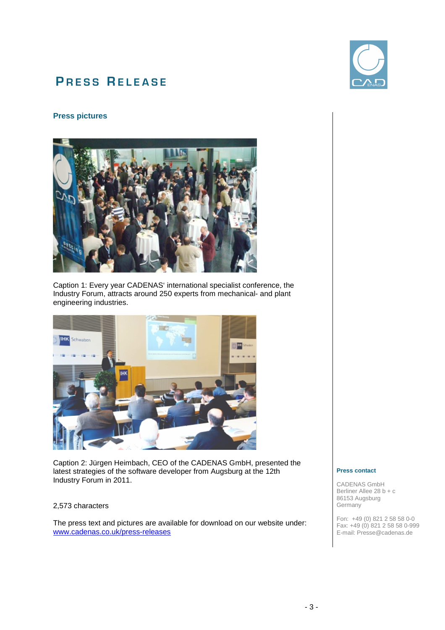## **PRESS RELEASE**

### **Press pictures**



Caption 1: Every year CADENAS' international specialist conference, the Industry Forum, attracts around 250 experts from mechanical- and plant engineering industries.



Caption 2: Jürgen Heimbach, CEO of the CADENAS GmbH, presented the latest strategies of the software developer from Augsburg at the 12th Industry Forum in 2011.

#### 2,573 characters

The press text and pictures are available for download on our website under: www.cadenas.co.uk/press-releases



#### **Press contact**

CADENAS GmbH Berliner Allee 28 b + c 86153 Augsburg **Germany**